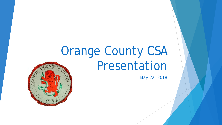# Orange County CSA Presentation

*May 22, 2018*

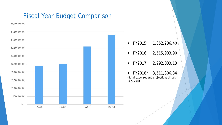#### Fiscal Year Budget Comparison

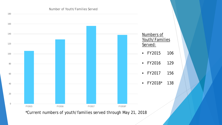

\*Current numbers of youth/families served through May 21, 2018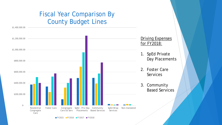### Fiscal Year Comparison By County Budget Lines

 \$- \$200,000.00 \$400,000.00 \$600,000.00 \$800,000.00 \$1,000,000.00 \$1,200,000.00 \$1,400,000.00 Residential Congregate Care Foster Care Congregate Care Ed Serv SpEd - Priv Day Community Placements Based Services SpEd Wrap Services Non-mandated Driving Expenses for FY2018: 1. SpEd Private Day Placements 2. Foster Care Services 3. Community Based Services

FY2015 FY2016 FY2017 FY2018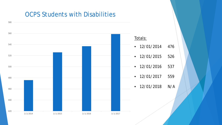#### OCPS Students with Disabilities

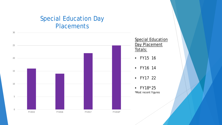#### Special Education Day **Placements**

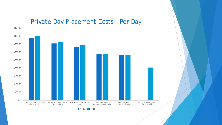#### Private Day Placement Costs - Per Day



 $FY17$  FY 18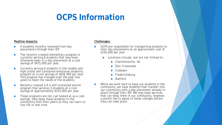# **OCPS Information**

#### **Positive Impacts:**

- 4 students recently removed from day placements through their IEP
- The recently created elementary program is currently serving 8 students that may have otherwise been in a day placement at a cost savings of \$475,000 per year.
- Currently serving 6 students in the middle and<br>high school self-contained emotional disability program at a cost savings of \$626,000 per year. This program has changed over the past four years to meet the needs of the students.
- Recently created a K-5 self-contained autism program that services 3 students at a cost savings of approximately \$223,000 per year.
- These programs are not just looked at as a cost- savings, they keep these students in the community with their peers so they can learn to live life in real time.

#### **Challenges:**

- OCPS are responsible for transporting students to their day placements at an approximate cost of \$150,000 per year
	- Locations include, but are not limited to:
		- ▶ Charlottesville, VA
		- Zion Crossroads
		- ▶ Culpeper
		- Fredericksburg
		- ▶ Stafford
- While we work hard to keep our students in the community, we have students that transfer into our community with a day placement already in place through their IEP. We may have services that can keep them in our community, however, a parent has to agree to these changes before they can take place.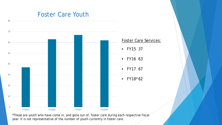#### Foster Care Youth

80



\*These are youth who have come in, and gone out of, foster care during each respective fiscal year. It is not representative of the number of youth currently in foster care.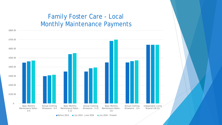#### Family Foster Care - Local Monthly Maintenance Payments



Before 2014 July 2014 - June 2016 July 2016 - Present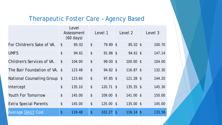### Therapeutic Foster Care – Agency Based

|                               | Level<br>Assessment<br>$(60 \text{ days})$ |        | Level 1                   |             | Level 2                   |             | Level 3    |        |
|-------------------------------|--------------------------------------------|--------|---------------------------|-------------|---------------------------|-------------|------------|--------|
| For Children's Sake of VA.    | $\boldsymbol{\mathsf{\$}}$                 | 85.02  | $\boldsymbol{\mathsf{S}}$ | 79.89 \$    |                           | 85.02 \$    |            | 100.70 |
| <b>UMFS</b>                   | $\boldsymbol{\mathsf{\$}}$                 | 94.61  | $\boldsymbol{\mathsf{S}}$ | 91.86 \$    |                           | 94.61 \$    |            | 147.14 |
| Children's Services of VA.    | $\boldsymbol{\mathsf{S}}$                  | 104.00 | $\boldsymbol{\mathsf{S}}$ | $99.00$ \$  |                           | $100.00$ \$ |            | 104.00 |
| The Bair Foundation of VA. \$ |                                            | 123.48 | $\boldsymbol{\mathsf{S}}$ | $94.82$ \$  |                           | $116.87$ \$ |            | 132.30 |
| National Counseling Group \$  |                                            | 123.60 | $\boldsymbol{\mathsf{S}}$ | $97.85$ \$  |                           | $121.28$ \$ |            | 144.20 |
| Intercept                     | $\boldsymbol{\mathsf{\$}}$                 | 135.10 | $\boldsymbol{\mathsf{S}}$ | $120.71$ \$ |                           | $135.35$ \$ |            | 145.30 |
| <b>Youth For Tomorrow</b>     | $\boldsymbol{\mathsf{\$}}$                 | 145.00 | $\boldsymbol{\mathsf{S}}$ | 109.00 \$   |                           | 141.00 \$   |            | 150.00 |
| <b>Extra Special Parents</b>  | \$                                         | 145.00 | $\boldsymbol{\mathsf{S}}$ | 125.00 \$   |                           | 135.00 \$   |            | 145.00 |
| <b>Average DAILY Cost</b>     | \$                                         | 119.48 | \$                        | 102.27      | $\boldsymbol{\mathsf{S}}$ | 116.14      | $\sqrt{2}$ | 133.58 |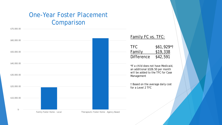### One-Year Foster Placement Comparison

\$70,000.00

Family FC vs. TFC: TFC \$61,929\*† Family \$19,338 Difference \$42,591 \*If a child does not have Medicaid, an additional \$326.50 per month will be added to the TFC for Case Management † Based on the average daily cost for a Level 2 TFC  $$-$  \$10,000.00 \$20,000.00 \$30,000.00 \$40,000.00 \$50,000.00 \$60,000.00 Family Foster Home - Local Therapeutic Foster Home - Agency Based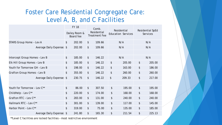### Foster Care Residential Congregate Care: Level A, B, and C Facilities

|                                 | <b>FY 18</b><br>Dailey Room &<br>Board fee |        | Comb.<br>Residential<br><b>Treatment Fee</b> |        | Residential<br><b>Education Services</b> |        |                                            |        |  |
|---------------------------------|--------------------------------------------|--------|----------------------------------------------|--------|------------------------------------------|--------|--------------------------------------------|--------|--|
|                                 |                                            |        |                                              |        |                                          |        | <b>Residential SpEd</b><br><b>Services</b> |        |  |
| <b>STARS Group Home - Lev A</b> | \$                                         | 202.00 | $\frac{1}{2}$                                | 109.66 |                                          | N/A    | N/A                                        |        |  |
| Average Daily Expense: \$       |                                            | 202.00 | $\sqrt[6]{\frac{1}{2}}$                      | 109.66 |                                          | N/A    | N/A                                        |        |  |
|                                 |                                            |        |                                              |        |                                          |        |                                            |        |  |
| Intercept Group Homes - Lev B   | \$                                         | 185.00 | $\sqrt[6]{\frac{1}{2}}$                      | 146.22 | N/A                                      |        | N/A                                        |        |  |
| Elk Hill Group Homes - Lev B    | \$                                         | 185.00 | $\boldsymbol{\mathsf{S}}$                    | 146.22 | \$                                       | 205.00 | $\boldsymbol{\mathsf{S}}$                  | 205.00 |  |
| Youth for Tomorrow GH - Lev B   | $\frac{1}{2}$                              | 198.00 | $\sqrt[6]{\frac{1}{2}}$                      | 146.22 | \$                                       | 163.00 | $\boldsymbol{\mathsf{S}}$                  | 186.00 |  |
| Grafton Group Homes - Lev B     | \$                                         | 355.00 | $\frac{1}{2}$                                | 146.22 | \$                                       | 260.00 | \$                                         | 260.00 |  |
| Average Daily Expense: \$       |                                            | 230.75 | \$                                           | 146.22 | \$                                       | 209.33 | \$                                         | 217.00 |  |
|                                 |                                            |        |                                              |        |                                          |        |                                            |        |  |
| Youth for Tomorrow - Lev C**    | $\boldsymbol{\$}$                          | 86.00  | $\frac{1}{2}$                                | 307.50 | \$                                       | 195.00 | $\boldsymbol{\mathsf{S}}$                  | 195.00 |  |
| ChildHelp - Lev C**             | \$                                         | 220.00 | $\sqrt[6]{\frac{1}{2}}$                      | 174.00 | \$                                       | 168.00 | \$                                         | 168.00 |  |
| Grafton RTC - Lev C**           | \$                                         | 283.00 | \$                                           | 131.00 | \$                                       | 240.00 | \$                                         | 240.00 |  |
| Hallmark RTC - Lev C**          | \$                                         | 301.00 | $\frac{1}{2}$                                | 139.00 | \$                                       | 117.00 | \$                                         | 145.00 |  |
| Harbor Point - Lev C**          | \$                                         | 319.00 | $\boldsymbol{\mathsf{S}}$                    | 75.00  | \$                                       | 135.00 | $\boldsymbol{\mathsf{S}}$                  | 185.00 |  |
| Average Daily Expense: \$       |                                            | 241.80 | \$                                           | 165.30 | \$                                       | 211.54 | \$                                         | 225.13 |  |

\*\*Level C facilities are locked facilities – most restrictive environment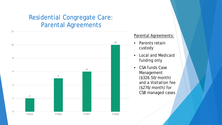### Residential Congregate Care: Parental Agreements



#### Parental Agreements:

- Parents retain custody
- Local and Medicaid funding only
- CSA funds Case Management (\$326.50/month) and a Visitation fee (\$276/month) for CSB managed cases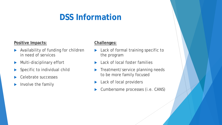# **DSS Information**

#### **Positive Impacts:**

- Availability of funding for children in need of services
- **Multi-disciplinary effort**
- Specific to individual child
- Celebrate successes
- $\blacktriangleright$  Involve the family

#### **Challenges:**

- **Lack of formal training specific to** the program
- Lack of local foster families
- Treatment/service planning needs to be more family focused
- Lack of local providers
- Cumbersome processes (i.e. CANS)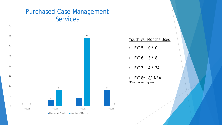### Purchased Case Management Services